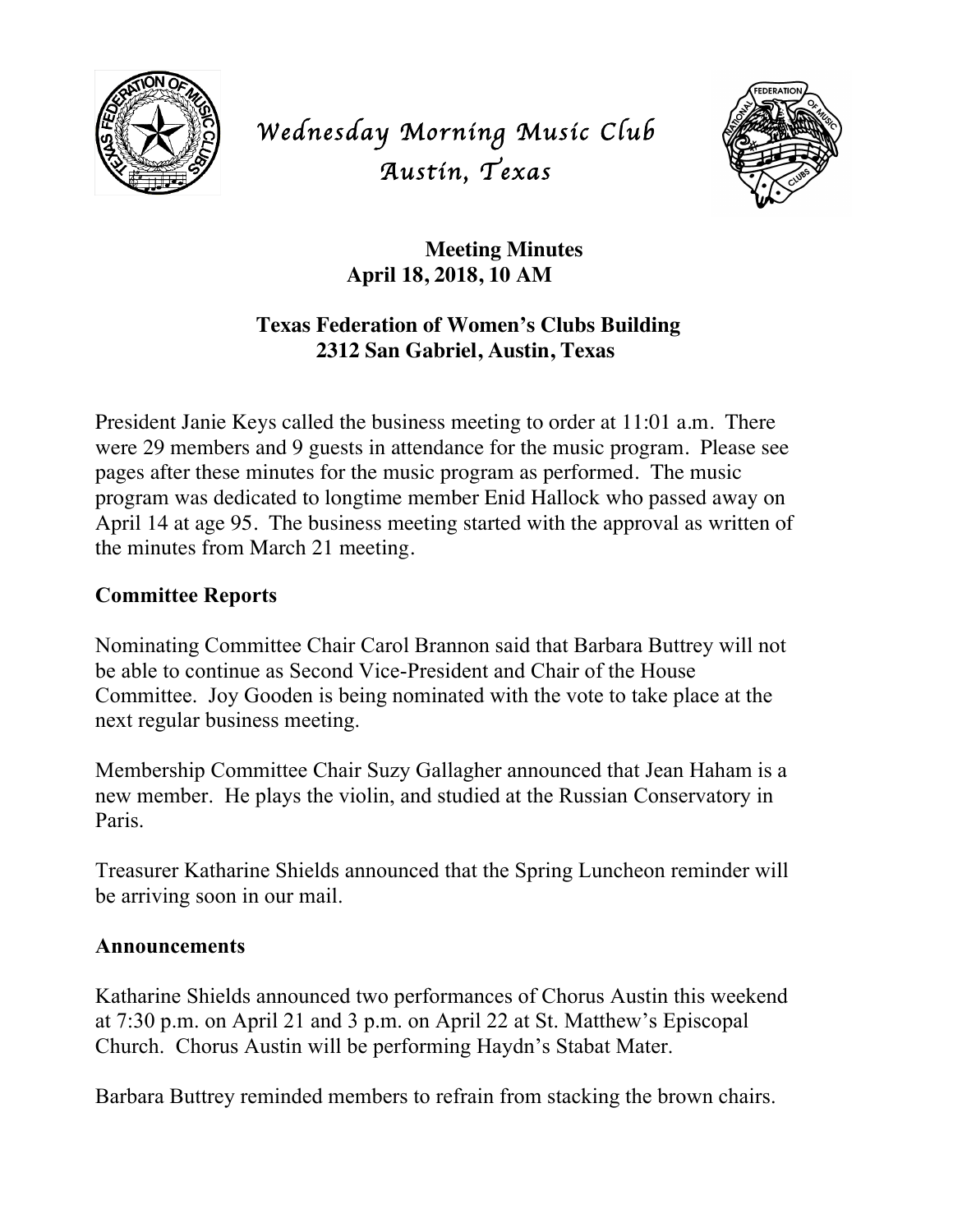

*Wednesday Morning Music Club Austin, Texas* 



# **Meeting Minutes April 18, 2018, 10 AM**

## **Texas Federation of Women's Clubs Building 2312 San Gabriel, Austin, Texas**

President Janie Keys called the business meeting to order at 11:01 a.m. There were 29 members and 9 guests in attendance for the music program. Please see pages after these minutes for the music program as performed. The music program was dedicated to longtime member Enid Hallock who passed away on April 14 at age 95. The business meeting started with the approval as written of the minutes from March 21 meeting.

## **Committee Reports**

Nominating Committee Chair Carol Brannon said that Barbara Buttrey will not be able to continue as Second Vice-President and Chair of the House Committee. Joy Gooden is being nominated with the vote to take place at the next regular business meeting.

Membership Committee Chair Suzy Gallagher announced that Jean Haham is a new member. He plays the violin, and studied at the Russian Conservatory in Paris.

Treasurer Katharine Shields announced that the Spring Luncheon reminder will be arriving soon in our mail.

#### **Announcements**

Katharine Shields announced two performances of Chorus Austin this weekend at 7:30 p.m. on April 21 and 3 p.m. on April 22 at St. Matthew's Episcopal Church. Chorus Austin will be performing Haydn's Stabat Mater.

Barbara Buttrey reminded members to refrain from stacking the brown chairs.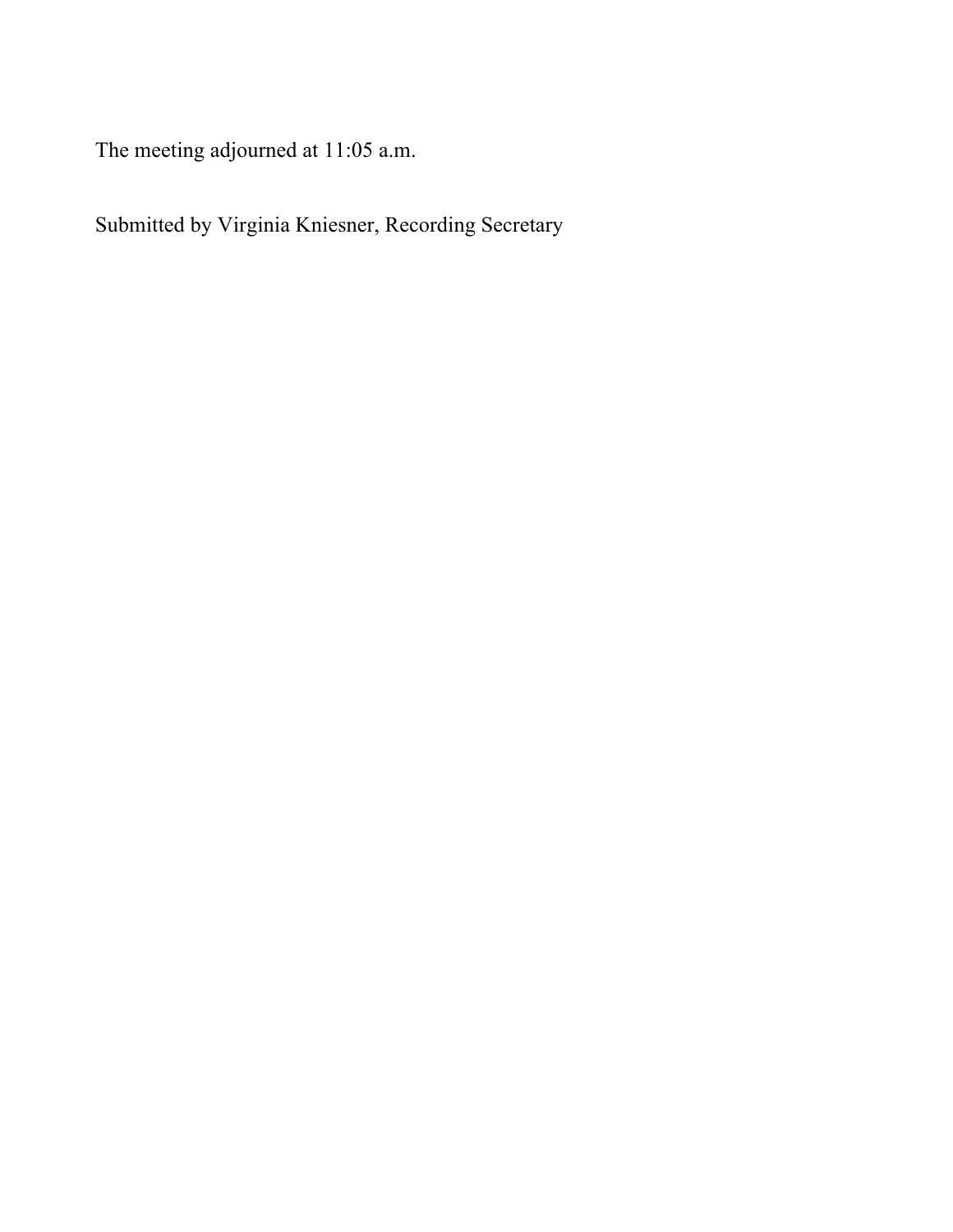The meeting adjourned at 11:05 a.m.

Submitted by Virginia Kniesner, Recording Secretary